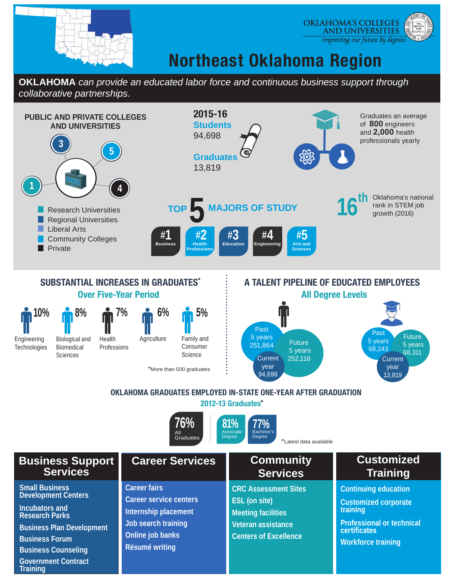

**Government Contract** 

**Training**



## **Northeast Oklahoma Region**

### **OKLAHOMA** *can provide an educated labor force and continuous business support through collaborative partnerships.*